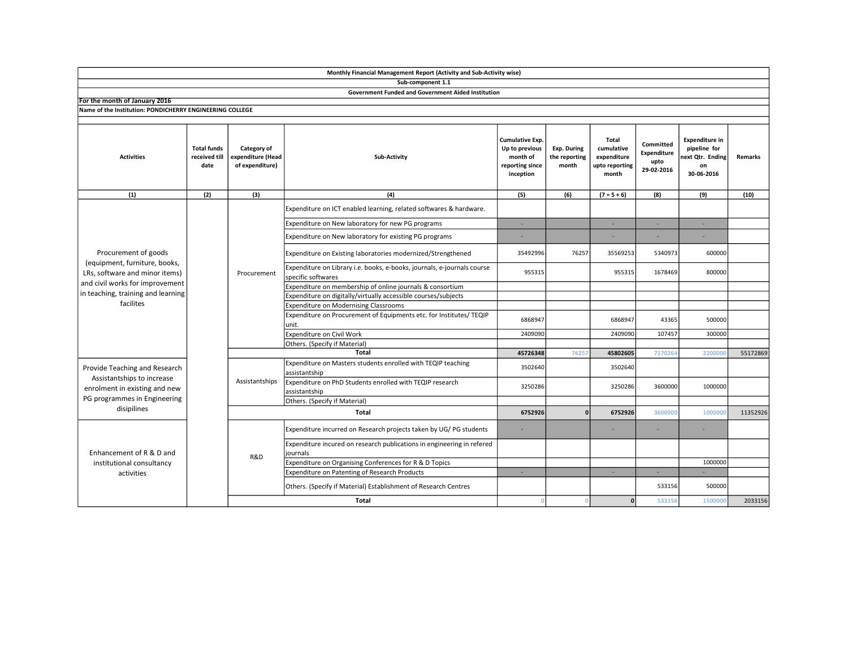|                                                                                                                                                                               |                                             |                                                     | Sub-component 1.1                                                                             |                                                                               |                                              |                                                               |                                                |                                                                              |          |
|-------------------------------------------------------------------------------------------------------------------------------------------------------------------------------|---------------------------------------------|-----------------------------------------------------|-----------------------------------------------------------------------------------------------|-------------------------------------------------------------------------------|----------------------------------------------|---------------------------------------------------------------|------------------------------------------------|------------------------------------------------------------------------------|----------|
|                                                                                                                                                                               |                                             |                                                     | <b>Government Funded and Government Aided Institution</b>                                     |                                                                               |                                              |                                                               |                                                |                                                                              |          |
| For the month of January 2016                                                                                                                                                 |                                             |                                                     |                                                                                               |                                                                               |                                              |                                                               |                                                |                                                                              |          |
| Name of the Institution: PONDICHERRY ENGINEERING COLLEGE                                                                                                                      |                                             |                                                     |                                                                                               |                                                                               |                                              |                                                               |                                                |                                                                              |          |
|                                                                                                                                                                               |                                             |                                                     |                                                                                               |                                                                               |                                              |                                                               |                                                |                                                                              |          |
| <b>Activities</b>                                                                                                                                                             | <b>Total funds</b><br>received till<br>date | Category of<br>expenditure (Head<br>of expenditure) | Sub-Activity                                                                                  | Cumulative Exp.<br>Up to previous<br>month of<br>reporting since<br>inception | <b>Exp. During</b><br>the reporting<br>month | Total<br>cumulative<br>expenditure<br>upto reporting<br>month | Committed<br>Expenditure<br>upto<br>29-02-2016 | <b>Expenditure in</b><br>pipeline for<br>ext Qtr. Ending<br>on<br>30-06-2016 | Remarks  |
| (1)                                                                                                                                                                           | (2)                                         | (3)                                                 | (4)                                                                                           | (5)                                                                           | (6)                                          | $(7 = 5 + 6)$                                                 | (8)                                            | (9)                                                                          | (10)     |
| Procurement of goods<br>(equipment, furniture, books,<br>LRs, software and minor items)<br>and civil works for improvement<br>in teaching, training and learning<br>facilites |                                             | Procurement                                         | Expenditure on ICT enabled learning, related softwares & hardware.                            |                                                                               |                                              |                                                               |                                                |                                                                              |          |
|                                                                                                                                                                               |                                             |                                                     | Expenditure on New laboratory for new PG programs                                             | $\sim$                                                                        |                                              | $\sim$                                                        | $\sim$                                         | $\sim$                                                                       |          |
|                                                                                                                                                                               |                                             |                                                     | Expenditure on New laboratory for existing PG programs                                        |                                                                               |                                              |                                                               |                                                |                                                                              |          |
|                                                                                                                                                                               |                                             |                                                     | Expenditure on Existing laboratories modernized/Strengthened                                  | 35492996                                                                      | 76257                                        | 35569253                                                      | 5340973                                        | 600000                                                                       |          |
|                                                                                                                                                                               |                                             |                                                     | Expenditure on Library i.e. books, e-books, journals, e-journals course<br>specific softwares | 955315                                                                        |                                              | 955315                                                        | 1678469                                        | 800000                                                                       |          |
|                                                                                                                                                                               |                                             |                                                     | Expenditure on membership of online journals & consortium                                     |                                                                               |                                              |                                                               |                                                |                                                                              |          |
|                                                                                                                                                                               |                                             |                                                     | Expenditure on digitally/virtually accessible courses/subjects                                |                                                                               |                                              |                                                               |                                                |                                                                              |          |
|                                                                                                                                                                               |                                             |                                                     | <b>Expenditure on Modernising Classrooms</b>                                                  |                                                                               |                                              |                                                               |                                                |                                                                              |          |
|                                                                                                                                                                               |                                             |                                                     | Expenditure on Procurement of Equipments etc. for Institutes/ TEQIP<br>unit.                  | 6868947                                                                       |                                              | 6868947                                                       | 43365                                          | 500000                                                                       |          |
|                                                                                                                                                                               |                                             |                                                     | Expenditure on Civil Work                                                                     | 2409090                                                                       |                                              | 2409090                                                       | 107457                                         | 300000                                                                       |          |
|                                                                                                                                                                               |                                             |                                                     | Others. (Specify if Material)                                                                 |                                                                               |                                              |                                                               |                                                |                                                                              |          |
|                                                                                                                                                                               |                                             | <b>Total</b>                                        |                                                                                               | 45726348                                                                      | 7625                                         | 45802605                                                      | 7170264                                        | 220000                                                                       | 55172869 |
| Provide Teaching and Research<br>Assistantships to increase<br>enrolment in existing and new<br>PG programmes in Engineering<br>disipilines                                   |                                             | Assistantships                                      | Expenditure on Masters students enrolled with TEQIP teaching<br>assistantship                 | 3502640                                                                       |                                              | 3502640                                                       |                                                |                                                                              |          |
|                                                                                                                                                                               |                                             |                                                     | Expenditure on PhD Students enrolled with TEQIP research<br>assistantship                     | 3250286                                                                       |                                              | 3250286                                                       | 3600000                                        | 1000000                                                                      |          |
|                                                                                                                                                                               |                                             |                                                     | Others. (Specify if Material)                                                                 |                                                                               |                                              |                                                               |                                                |                                                                              |          |
|                                                                                                                                                                               |                                             |                                                     | <b>Total</b>                                                                                  |                                                                               | n                                            | 6752926                                                       | 3600000                                        | 1000000                                                                      | 11352926 |
| Enhancement of R & D and<br>institutional consultancy<br>activities                                                                                                           |                                             | R&D                                                 | Expenditure incurred on Research projects taken by UG/PG students                             | ٠                                                                             |                                              |                                                               |                                                |                                                                              |          |
|                                                                                                                                                                               |                                             |                                                     | Expenditure incured on research publications in engineering in refered<br>journals            |                                                                               |                                              |                                                               |                                                |                                                                              |          |
|                                                                                                                                                                               |                                             |                                                     | Expenditure on Organising Conferences for R & D Topics                                        |                                                                               |                                              |                                                               |                                                | 1000000                                                                      |          |
|                                                                                                                                                                               |                                             |                                                     | Expenditure on Patenting of Research Products                                                 | ÷.                                                                            |                                              |                                                               | ÷.                                             |                                                                              |          |
|                                                                                                                                                                               |                                             |                                                     | Others. (Specify if Material) Establishment of Research Centres                               |                                                                               |                                              |                                                               | 533156                                         | 500000                                                                       |          |
|                                                                                                                                                                               |                                             |                                                     | <b>Total</b>                                                                                  |                                                                               |                                              | $\mathbf{0}$                                                  | 533156                                         | 1500000                                                                      | 2033156  |

Monthly Financial Management Report (Activity and Sub-Activity wise)